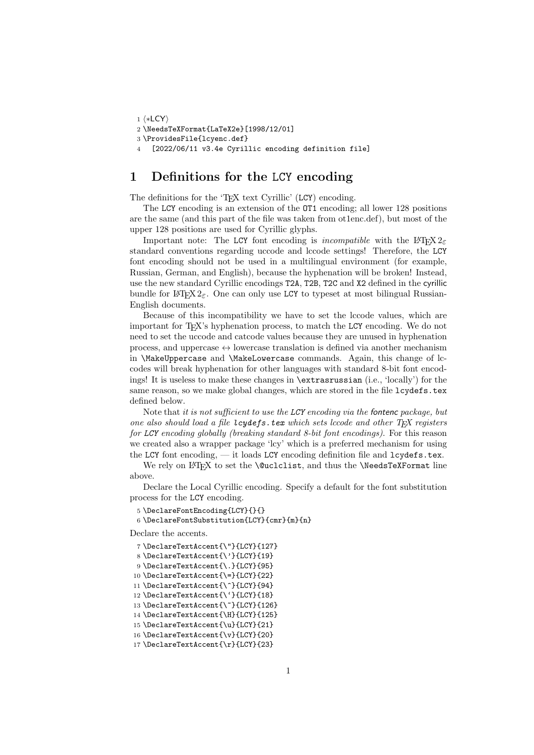```
1 ⟨∗LCY⟩
2 \NeedsTeXFormat{LaTeX2e}[1998/12/01]
3 \ProvidesFile{lcyenc.def}
4 [2022/06/11 v3.4e Cyrillic encoding definition file]
```
## 1 Definitions for the LCY encoding

The definitions for the 'T<sub>E</sub>X text Cyrillic' (LCY) encoding.

The LCY encoding is an extension of the OT1 encoding; all lower 128 positions are the same (and this part of the file was taken from ot1enc.def), but most of the upper 128 positions are used for Cyrillic glyphs.

Important note: The LCY font encoding is *incompatible* with the LAT<sub>EX</sub>  $2\varepsilon$ standard conventions regarding uccode and lccode settings! Therefore, the LCY font encoding should not be used in a multilingual environment (for example, Russian, German, and English), because the hyphenation will be broken! Instead, use the new standard Cyrillic encodings T2A, T2B, T2C and X2 defined in the cyrillic bundle for LAT<sub>EX</sub>  $2\varepsilon$ . One can only use LCY to typeset at most bilingual Russian-English documents.

Because of this incompatibility we have to set the lccode values, which are important for TEX's hyphenation process, to match the LCY encoding. We do not need to set the uccode and catcode values because they are unused in hyphenation process, and uppercase  $\leftrightarrow$  lowercase translation is defined via another mechanism in \MakeUppercase and \MakeLowercase commands. Again, this change of lccodes will break hyphenation for other languages with standard 8-bit font encodings! It is useless to make these changes in \extrasrussian (i.e., 'locally') for the same reason, so we make global changes, which are stored in the file lcydefs.tex defined below.

Note that it is not sufficient to use the LCY encoding via the fontenc package, but one also should load a file lcydefs.tex which sets lccode and other  $T_{FX}$  registers for LCY encoding globally (breaking standard 8-bit font encodings). For this reason we created also a wrapper package 'lcy' which is a preferred mechanism for using the LCY font encoding, — it loads LCY encoding definition file and lcydefs.tex.

We rely on LATEX to set the **\@uclclist**, and thus the **\NeedsTeXFormat** line above.

Declare the Local Cyrillic encoding. Specify a default for the font substitution process for the LCY encoding.

5 \DeclareFontEncoding{LCY}{}{}

6 \DeclareFontSubstitution{LCY}{cmr}{m}{n}

Declare the accents.

- 7 \DeclareTextAccent{\"}{LCY}{127}
- 8 \DeclareTextAccent{\'}{LCY}{19}
- 9 \DeclareTextAccent{\.}{LCY}{95}
- 10 \DeclareTextAccent{\=}{LCY}{22}
- 11 \DeclareTextAccent{\^}{LCY}{94}
- 12 \DeclareTextAccent{\'}{LCY}{18}
- 13 \DeclareTextAccent{\~}{LCY}{126}
- 14 \DeclareTextAccent{\H}{LCY}{125}
- 15 \DeclareTextAccent{\u}{LCY}{21}
- 16 \DeclareTextAccent{\v}{LCY}{20}
- 17 \DeclareTextAccent{\r}{LCY}{23}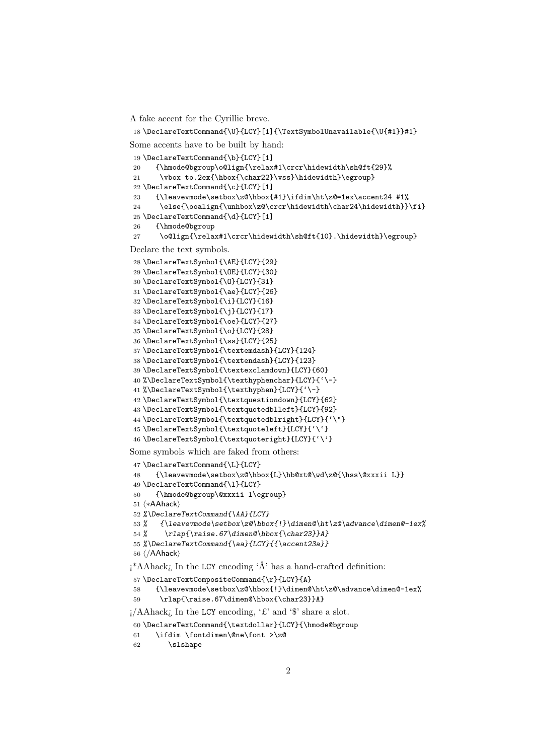A fake accent for the Cyrillic breve.

```
18 \DeclareTextCommand{\U}{LCY}[1]{\TextSymbolUnavailable{\U{#1}}#1}
```
Some accents have to be built by hand:

```
19 \DeclareTextCommand{\b}{LCY}[1]
20 {\hmode@bgroup\o@lign{\relax#1\crcr\hidewidth\sh@ft{29}%
21 \vbox to.2ex{\hbox{\char22}\vss}\hidewidth}\egroup}
22 \DeclareTextCommand{\c}{LCY}[1]
23 {\leavevmode\setbox\z@\hbox{#1}\ifdim\ht\z@=1ex\accent24 #1%
24 \else{\ooalign{\unhbox\z@\crcr\hidewidth\char24\hidewidth}}\fi}
25 \DeclareTextCommand{\d}{LCY}[1]
26 {\hmode@bgroup
27 \o@lign{\relax#1\crcr\hidewidth\sh@ft{10}.\hidewidth}\egroup}
Declare the text symbols.
28 \DeclareTextSymbol{\AE}{LCY}{29}
29 \DeclareTextSymbol{\OE}{LCY}{30}
30 \DeclareTextSymbol{\O}{LCY}{31}
31 \DeclareTextSymbol{\ae}{LCY}{26}
32 \DeclareTextSymbol{\i}{LCY}{16}
33 \DeclareTextSymbol{\j}{LCY}{17}
34 \DeclareTextSymbol{\oe}{LCY}{27}
35 \DeclareTextSymbol{\o}{LCY}{28}
36 \DeclareTextSymbol{\ss}{LCY}{25}
37 \DeclareTextSymbol{\textemdash}{LCY}{124}
38 \DeclareTextSymbol{\textendash}{LCY}{123}
39 \DeclareTextSymbol{\textexclamdown}{LCY}{60}
40 %\DeclareTextSymbol{\texthyphenchar}{LCY}{'\-}
41 %\DeclareTextSymbol{\texthyphen}{LCY}{'\-}
42 \DeclareTextSymbol{\textquestiondown}{LCY}{62}
43 \DeclareTextSymbol{\textquotedblleft}{LCY}{92}
44 \DeclareTextSymbol{\textquotedblright}{LCY}{'\"}
45 \DeclareTextSymbol{\textquoteleft}{LCY}{'\'}
46 \DeclareTextSymbol{\textquoteright}{LCY}{'\'}
Some symbols which are faked from others:
47 \DeclareTextCommand{\L}{LCY}
```

```
48 {\leavevmode\setbox\z@\hbox{L}\hb@xt@\wd\z@{\hss\@xxxii L}}
```

```
49 \DeclareTextCommand{\l}{LCY}
50 {\hmode@bgroup\@xxxii l\egroup}
```
⟨∗AAhack⟩

```
52 %\DeclareTextCommand{\AA}{LCY}
```
53 % {\leavevmode\setbox\z@\hbox{!}\dimen@\ht\z@\advance\dimen@-1ex%

```
54 % \rlap{\raise.67\dimen@\hbox{\char23}}A}
```

```
55 %\DeclareTextCommand{\aa}{LCY}{{\accent23a}}
```

```
56 ⟨/AAhack⟩
```
 $i^*A$ Ahack; In the LCY encoding 'Å' has a hand-crafted definition:

```
57 \DeclareTextCompositeCommand{\r}{LCY}{A}
```

```
58 {\leavevmode\setbox\z@\hbox{!}\dimen@\ht\z@\advance\dimen@-1ex%
```

```
59 \rlap{\raise.67\dimen@\hbox{\char23}}A}
```
 $\frac{1}{A}$ Ahack<sub>i</sub> In the LCY encoding, '£' and '\$' share a slot.

```
60 \DeclareTextCommand{\textdollar}{LCY}{\hmode@bgroup
```

```
61 \ifdim \fontdimen\@ne\font >\z@
```

```
62 \slshape
```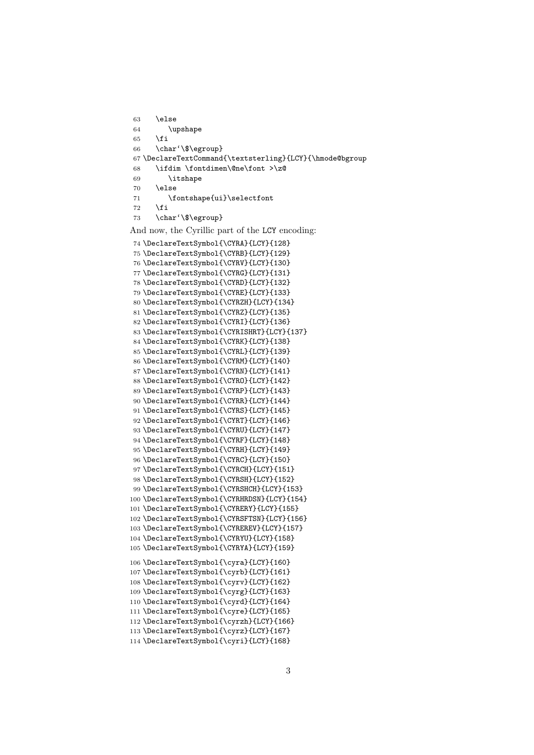```
63 \overline{)638}64 \upshape
65 \fi
66 \char'\$\egroup}
67 \DeclareTextCommand{\textsterling}{LCY}{\hmode@bgroup
68 \ifdim \fontdimen\@ne\font >\z@
69 \itshape
70 \else
71 \fontshape{ui}\selectfont
72 \qquad \qquad \fi
73 \char'\$\egroup}
```
And now, the Cyrillic part of the LCY encoding:

```
74 \DeclareTextSymbol{\CYRA}{LCY}{128}
75 \DeclareTextSymbol{\CYRB}{LCY}{129}
76 \DeclareTextSymbol{\CYRV}{LCY}{130}
77 \DeclareTextSymbol{\CYRG}{LCY}{131}
78 \DeclareTextSymbol{\CYRD}{LCY}{132}
79 \DeclareTextSymbol{\CYRE}{LCY}{133}
80 \DeclareTextSymbol{\CYRZH}{LCY}{134}
81 \DeclareTextSymbol{\CYRZ}{LCY}{135}
82 \DeclareTextSymbol{\CYRI}{LCY}{136}
83 \DeclareTextSymbol{\CYRISHRT}{LCY}{137}
84 \DeclareTextSymbol{\CYRK}{LCY}{138}
85 \DeclareTextSymbol{\CYRL}{LCY}{139}
86 \DeclareTextSymbol{\CYRM}{LCY}{140}
87 \DeclareTextSymbol{\CYRN}{LCY}{141}
88 \DeclareTextSymbol{\CYRO}{LCY}{142}
89 \DeclareTextSymbol{\CYRP}{LCY}{143}
90 \DeclareTextSymbol{\CYRR}{LCY}{144}
91 \DeclareTextSymbol{\CYRS}{LCY}{145}
92 \DeclareTextSymbol{\CYRT}{LCY}{146}
93 \DeclareTextSymbol{\CYRU}{LCY}{147}
94 \DeclareTextSymbol{\CYRF}{LCY}{148}
95 \DeclareTextSymbol{\CYRH}{LCY}{149}
96 \DeclareTextSymbol{\CYRC}{LCY}{150}
97 \DeclareTextSymbol{\CYRCH}{LCY}{151}
98 \DeclareTextSymbol{\CYRSH}{LCY}{152}
99 \DeclareTextSymbol{\CYRSHCH}{LCY}{153}
100 \DeclareTextSymbol{\CYRHRDSN}{LCY}{154}
101 \DeclareTextSymbol{\CYRERY}{LCY}{155}
102 \DeclareTextSymbol{\CYRSFTSN}{LCY}{156}
103 \DeclareTextSymbol{\CYREREV}{LCY}{157}
104 \DeclareTextSymbol{\CYRYU}{LCY}{158}
105 \DeclareTextSymbol{\CYRYA}{LCY}{159}
106 \DeclareTextSymbol{\cyra}{LCY}{160}
107 \DeclareTextSymbol{\cyrb}{LCY}{161}
108 \DeclareTextSymbol{\cyrv}{LCY}{162}
109 \DeclareTextSymbol{\cyrg}{LCY}{163}
110 \DeclareTextSymbol{\cyrd}{LCY}{164}
111 \DeclareTextSymbol{\cyre}{LCY}{165}
112 \DeclareTextSymbol{\cyrzh}{LCY}{166}
113 \DeclareTextSymbol{\cyrz}{LCY}{167}
114 \DeclareTextSymbol{\cyri}{LCY}{168}
```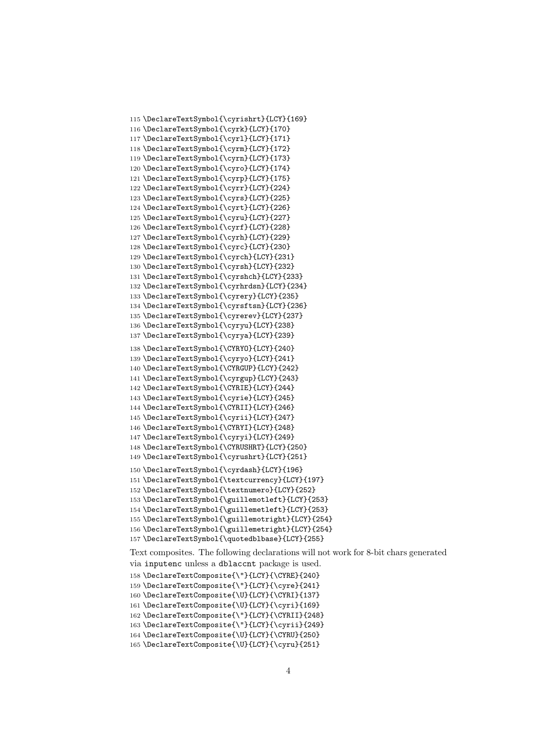```
115 \DeclareTextSymbol{\cyrishrt}{LCY}{169}
116 \DeclareTextSymbol{\cyrk}{LCY}{170}
117 \DeclareTextSymbol{\cyrl}{LCY}{171}
118 \DeclareTextSymbol{\cyrm}{LCY}{172}
119 \DeclareTextSymbol{\cyrn}{LCY}{173}
120 \DeclareTextSymbol{\cyro}{LCY}{174}
121 \DeclareTextSymbol{\cyrp}{LCY}{175}
122 \DeclareTextSymbol{\cyrr}{LCY}{224}
123 \DeclareTextSymbol{\cyrs}{LCY}{225}
124 \DeclareTextSymbol{\cyrt}{LCY}{226}
125 \DeclareTextSymbol{\cyru}{LCY}{227}
126 \DeclareTextSymbol{\cyrf}{LCY}{228}
127 \DeclareTextSymbol{\cyrh}{LCY}{229}
128 \DeclareTextSymbol{\cyrc}{LCY}{230}
129 \DeclareTextSymbol{\cyrch}{LCY}{231}
130 \DeclareTextSymbol{\cyrsh}{LCY}{232}
131 \DeclareTextSymbol{\cyrshch}{LCY}{233}
132 \DeclareTextSymbol{\cyrhrdsn}{LCY}{234}
133 \DeclareTextSymbol{\cyrery}{LCY}{235}
134 \DeclareTextSymbol{\cyrsftsn}{LCY}{236}
135 \DeclareTextSymbol{\cyrerev}{LCY}{237}
136 \DeclareTextSymbol{\cyryu}{LCY}{238}
137 \DeclareTextSymbol{\cyrya}{LCY}{239}
138 \DeclareTextSymbol{\CYRYO}{LCY}{240}
139 \DeclareTextSymbol{\cyryo}{LCY}{241}
140 \DeclareTextSymbol{\CYRGUP}{LCY}{242}
141 \DeclareTextSymbol{\cyrgup}{LCY}{243}
142 \DeclareTextSymbol{\CYRIE}{LCY}{244}
143 \DeclareTextSymbol{\cyrie}{LCY}{245}
144 \DeclareTextSymbol{\CYRII}{LCY}{246}
145 \DeclareTextSymbol{\cyrii}{LCY}{247}
146 \DeclareTextSymbol{\CYRYI}{LCY}{248}
147 \DeclareTextSymbol{\cyryi}{LCY}{249}
148 \DeclareTextSymbol{\CYRUSHRT}{LCY}{250}
149 \DeclareTextSymbol{\cyrushrt}{LCY}{251}
150 \DeclareTextSymbol{\cyrdash}{LCY}{196}
151 \DeclareTextSymbol{\textcurrency}{LCY}{197}
152 \DeclareTextSymbol{\textnumero}{LCY}{252}
153 \DeclareTextSymbol{\guillemotleft}{LCY}{253}
154 \DeclareTextSymbol{\guillemetleft}{LCY}{253}
155 \DeclareTextSymbol{\guillemotright}{LCY}{254}
156 \DeclareTextSymbol{\guillemetright}{LCY}{254}
157 \DeclareTextSymbol{\quotedblbase}{LCY}{255}
Text composites. The following declarations will not work for 8-bit chars generated
```
via inputenc unless a dblaccnt package is used.

\DeclareTextComposite{\"}{LCY}{\CYRE}{240}

\DeclareTextComposite{\"}{LCY}{\cyre}{241}

\DeclareTextComposite{\U}{LCY}{\CYRI}{137}

\DeclareTextComposite{\U}{LCY}{\cyri}{169}

 \DeclareTextComposite{\"}{LCY}{\CYRII}{248} \DeclareTextComposite{\"}{LCY}{\cyrii}{249}

\DeclareTextComposite{\U}{LCY}{\CYRU}{250}

\DeclareTextComposite{\U}{LCY}{\cyru}{251}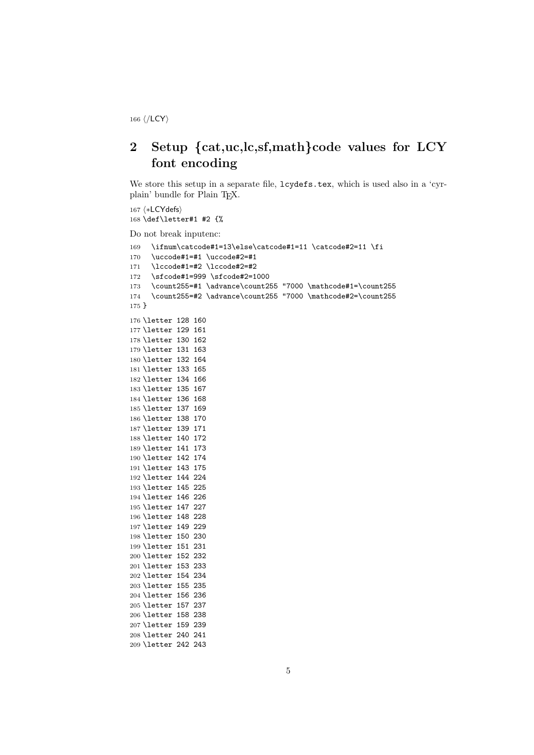⟨/LCY⟩

## 2 Setup {cat,uc,lc,sf,math}code values for LCY font encoding

We store this setup in a separate file,  $l$ cydefs.tex, which is used also in a 'cyrplain' bundle for Plain T<sub>E</sub>X.

```
167 ⟨∗LCYdefs⟩
168 \def\letter#1 #2 {%
Do not break inputenc:
169 \ifnum\catcode#1=13\else\catcode#1=11 \catcode#2=11 \fi
170 \uccode#1=#1 \uccode#2=#1
171 \lccode#1=#2 \lccode#2=#2
172 \sfcode#1=999 \sfcode#2=1000
173 \count255=#1 \advance\count255 "7000 \mathcode#1=\count255
174 \count255=#2 \advance\count255 "7000 \mathcode#2=\count255
175 }
176 \letter 128 160
177 \letter 129 161
178 \letter 130 162
179 \letter 131 163
180 \letter 132 164
181 \letter 133 165
182 \letter 134 166
183 \letter 135 167
184 \letter 136 168
185 \letter 137 169
186 \letter 138 170
187 \letter 139 171
188 \letter 140 172
189 \letter 141 173
190 \letter 142 174
191 \letter 143 175
192 \letter 144 224
193 \letter 145 225
194 \letter 146 226
195 \letter 147 227
196 \letter 148 228
197 \letter 149 229
198 \letter 150 230
199 \letter 151 231
200 \letter 152 232
201 \letter 153 233
202 \letter 154 234
203 \letter 155 235
204 \letter 156 236
205 \letter 157 237
206 \letter 158 238
207 \letter 159 239
208 \letter 240 241
209 \letter 242 243
```